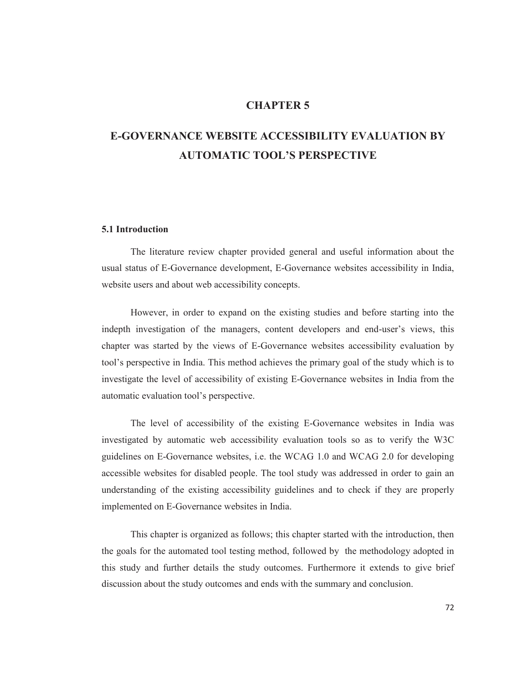# **CHAPTER 5**

# **E-GOVERNANCE WEBSITE ACCESSIBILITY EVALUATION BY AUTOMATIC TOOL'S PERSPECTIVE**

## **5.1 Introduction**

The literature review chapter provided general and useful information about the usual status of E-Governance development, E-Governance websites accessibility in India, website users and about web accessibility concepts.

However, in order to expand on the existing studies and before starting into the indepth investigation of the managers, content developers and end-user's views, this chapter was started by the views of E-Governance websites accessibility evaluation by tool's perspective in India. This method achieves the primary goal of the study which is to investigate the level of accessibility of existing E-Governance websites in India from the automatic evaluation tool's perspective.

The level of accessibility of the existing E-Governance websites in India was investigated by automatic web accessibility evaluation tools so as to verify the W3C guidelines on E-Governance websites, i.e. the WCAG 1.0 and WCAG 2.0 for developing accessible websites for disabled people. The tool study was addressed in order to gain an understanding of the existing accessibility guidelines and to check if they are properly implemented on E-Governance websites in India.

This chapter is organized as follows; this chapter started with the introduction, then the goals for the automated tool testing method, followed by the methodology adopted in this study and further details the study outcomes. Furthermore it extends to give brief discussion about the study outcomes and ends with the summary and conclusion.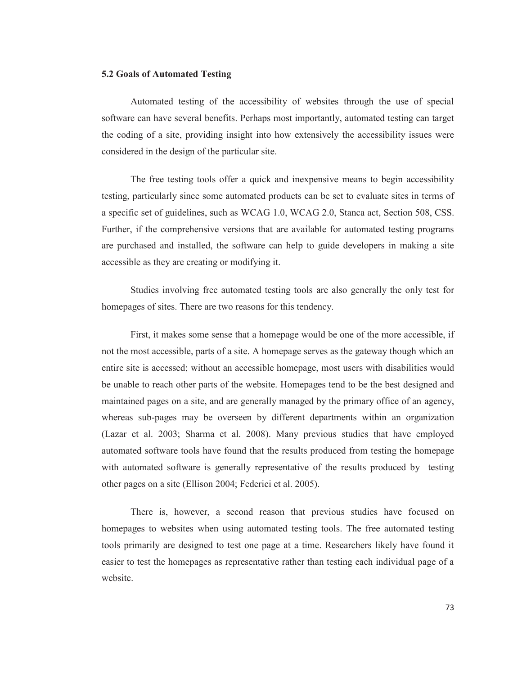#### **5.2 Goals of Automated Testing**

Automated testing of the accessibility of websites through the use of special software can have several benefits. Perhaps most importantly, automated testing can target the coding of a site, providing insight into how extensively the accessibility issues were considered in the design of the particular site.

The free testing tools offer a quick and inexpensive means to begin accessibility testing, particularly since some automated products can be set to evaluate sites in terms of a specific set of guidelines, such as WCAG 1.0, WCAG 2.0, Stanca act, Section 508, CSS. Further, if the comprehensive versions that are available for automated testing programs are purchased and installed, the software can help to guide developers in making a site accessible as they are creating or modifying it.

Studies involving free automated testing tools are also generally the only test for homepages of sites. There are two reasons for this tendency.

First, it makes some sense that a homepage would be one of the more accessible, if not the most accessible, parts of a site. A homepage serves as the gateway though which an entire site is accessed; without an accessible homepage, most users with disabilities would be unable to reach other parts of the website. Homepages tend to be the best designed and maintained pages on a site, and are generally managed by the primary office of an agency, whereas sub-pages may be overseen by different departments within an organization (Lazar et al. 2003; Sharma et al. 2008). Many previous studies that have employed automated software tools have found that the results produced from testing the homepage with automated software is generally representative of the results produced by testing other pages on a site (Ellison 2004; Federici et al. 2005).

There is, however, a second reason that previous studies have focused on homepages to websites when using automated testing tools. The free automated testing tools primarily are designed to test one page at a time. Researchers likely have found it easier to test the homepages as representative rather than testing each individual page of a website.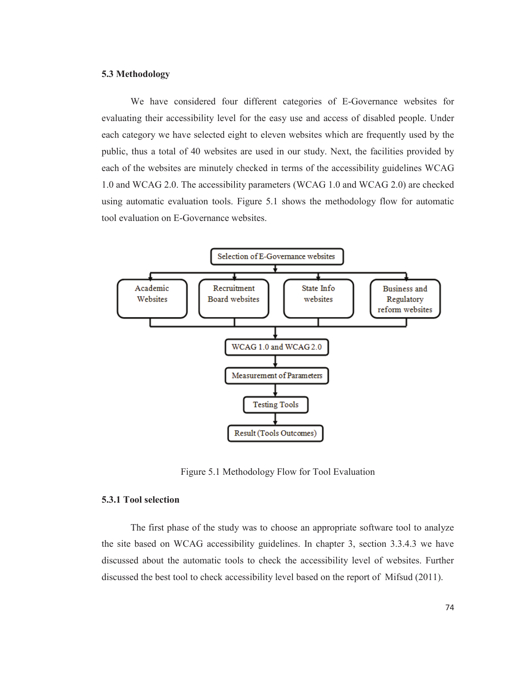## **5.3 Methodology**

We have considered four different categories of E-Governance websites for evaluating their accessibility level for the easy use and access of disabled people. Under each category we have selected eight to eleven websites which are frequently used by the public, thus a total of 40 websites are used in our study. Next, the facilities provided by each of the websites are minutely checked in terms of the accessibility guidelines WCAG 1.0 and WCAG 2.0. The accessibility parameters (WCAG 1.0 and WCAG 2.0) are checked using automatic evaluation tools. Figure 5.1 shows the methodology flow for automatic tool evaluation on E-Governance websites.



Figure 5.1 Methodology Flow for Tool Evaluation

## **5.3.1 Tool selection**

The first phase of the study was to choose an appropriate software tool to analyze the site based on WCAG accessibility guidelines. In chapter 3, section 3.3.4.3 we have discussed about the automatic tools to check the accessibility level of websites. Further discussed the best tool to check accessibility level based on the report of Mifsud (2011).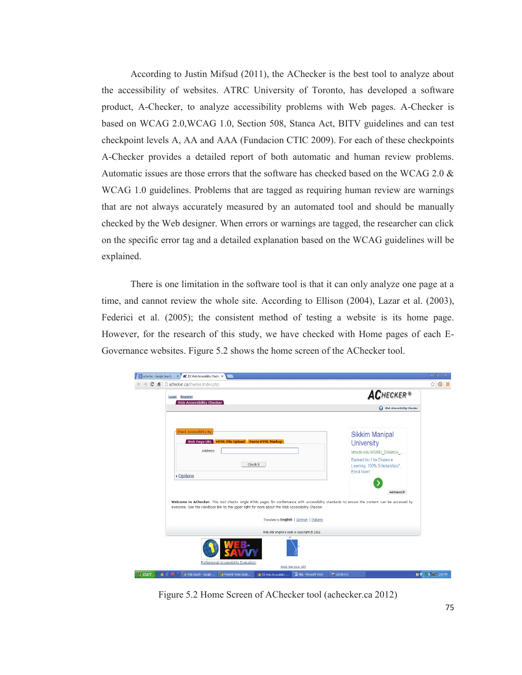According to Justin Mifsud (2011), the AChecker is the best tool to analyze about the accessibility of websites. ATRC University of Toronto, has developed a software product, A-Checker, to analyze accessibility problems with Web pages. A-Checker is based on WCAG 2.0,WCAG 1.0, Section 508, Stanca Act, BITV guidelines and can test checkpoint levels A, AA and AAA (Fundacion CTIC 2009). For each of these checkpoints A-Checker provides a detailed report of both automatic and human review problems. Automatic issues are those errors that the software has checked based on the WCAG 2.0 & WCAG 1.0 guidelines. Problems that are tagged as requiring human review are warnings that are not always accurately measured by an automated tool and should be manually checked by the Web designer. When errors or warnings are tagged, the researcher can click on the specific error tag and a detailed explanation based on the WCAG guidelines will be explained.

There is one limitation in the software tool is that it can only analyze one page at a time, and cannot review the whole site. According to Ellison (2004), Lazar et al. (2003), Federici et al. (2005); the consistent method of testing a website is its home page. However, for the research of this study, we have checked with Home pages of each E-Governance websites. Figure 5.2 shows the home screen of the AChecker tool.

| 作<br>C | achecker.ca/checker/index.php                                                                                                                                                                           |                                       |                                |                                            |             |                                                                                                                                                                                                                                                                                                                 | ☆<br>≘                     |
|--------|---------------------------------------------------------------------------------------------------------------------------------------------------------------------------------------------------------|---------------------------------------|--------------------------------|--------------------------------------------|-------------|-----------------------------------------------------------------------------------------------------------------------------------------------------------------------------------------------------------------------------------------------------------------------------------------------------------------|----------------------------|
|        | Login Register<br>Web Accessibility Checker                                                                                                                                                             |                                       |                                |                                            |             | <b>ACHECKER®</b>                                                                                                                                                                                                                                                                                                |                            |
|        |                                                                                                                                                                                                         |                                       |                                |                                            |             | Web Accessibility Checker                                                                                                                                                                                                                                                                                       |                            |
|        | Check Accessibility By:<br>Web Page URL HTML File Upload Paste HTML Markup<br>Address:<br>▶ Options<br>everyone. See the Handbook link to the upper right for more about the Web Accessibility Checker. |                                       | Check It                       |                                            | Enroll Now! | <b>Sikkim Manipal</b><br><b>University</b><br>smude.edu.in/SMU_Distance<br>Ranked No.1 for Distance<br>Learning, 100% Scholarships*.<br>AdChoices <sup>D</sup><br>Welcome to AChecker. This tool checks single HTML pages for conformance with accessibility standards to ensure the content can be accessed by |                            |
|        |                                                                                                                                                                                                         |                                       |                                | Translate to English   German   Italiano   |             |                                                                                                                                                                                                                                                                                                                 |                            |
|        |                                                                                                                                                                                                         |                                       |                                | Web site engine's code is copyright @ 2011 |             |                                                                                                                                                                                                                                                                                                                 |                            |
|        |                                                                                                                                                                                                         | Professional Accessibility Evaluation |                                |                                            |             |                                                                                                                                                                                                                                                                                                                 |                            |
|        | Web Search - Google                                                                                                                                                                                     | Present Tense (Simpl                  | <b>D</b> IDI Web Accessibility | Web Service API<br>http - Microsoft Word   | GOHIN (H:)  |                                                                                                                                                                                                                                                                                                                 | <b>图 (6) S 图 图</b> 2:09 PM |

Figure 5.2 Home Screen of AChecker tool (achecker.ca 2012)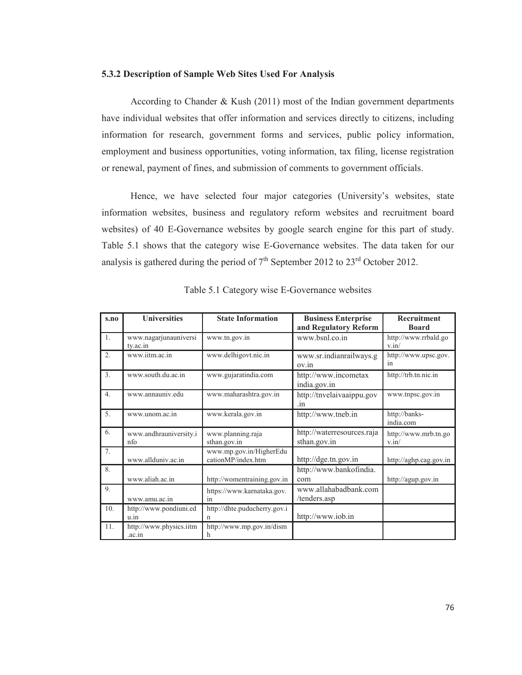#### **5.3.2 Description of Sample Web Sites Used For Analysis**

According to Chander & Kush  $(2011)$  most of the Indian government departments have individual websites that offer information and services directly to citizens, including information for research, government forms and services, public policy information, employment and business opportunities, voting information, tax filing, license registration or renewal, payment of fines, and submission of comments to government officials.

Hence, we have selected four major categories (University's websites, state information websites, business and regulatory reform websites and recruitment board websites) of 40 E-Governance websites by google search engine for this part of study. Table 5.1 shows that the category wise E-Governance websites. The data taken for our analysis is gathered during the period of  $7<sup>th</sup>$  September 2012 to 23<sup>rd</sup> October 2012.

| s.no             | <b>Universities</b>               | <b>State Information</b>                      | <b>Business Enterprise</b>                 | Recruitment                                   |
|------------------|-----------------------------------|-----------------------------------------------|--------------------------------------------|-----------------------------------------------|
| 1.               | www.nagarjunauniversi<br>ty.ac.in | www.tn.gov.in                                 | and Regulatory Reform<br>www.bsnl.co.in    | <b>Board</b><br>http://www.rrbald.go<br>v.in/ |
| 2.               | www.iitm.ac.in                    | www.delhigovt.nic.in                          | www.sr.indianrailways.g<br>ov.in           | http://www.upsc.gov.<br>in                    |
| $\overline{3}$ . | www.south.du.ac.in                | www.gujaratindia.com                          | http://www.incometax<br>india.gov.in       | http://trb.tn.nic.in                          |
| 4.               | www.annauniv.edu                  | www.maharashtra.gov.in                        | http://tnvelaivaaippu.gov<br>.in           | www.tnpsc.gov.in                              |
| 5 <sub>1</sub>   | www.unom.ac.in                    | www.kerala.gov.in                             | http://www.tneb.in                         | http://banks-<br>india.com                    |
| 6.               | www.andhrauniversity.i<br>nfo     | www.planning.raja<br>sthan.gov.in             | http://waterresources.raja<br>sthan.gov.in | http://www.mrb.tn.go<br>v.in/                 |
| 7.               | www.allduniv.ac.in                | www.mp.gov.in/HigherEdu<br>cationMP/index.htm | http://dge.tn.gov.in                       | http://aghp.cag.gov.in                        |
| 8.               | www.aliah.ac.in                   | http://womentraining.gov.in                   | http://www.bankofindia.<br>com             | http://agup.gov.in                            |
| 9.               | www.amu.ac.in                     | https://www.karnataka.gov.<br>in              | www.allahabadbank.com<br>/tenders.asp      |                                               |
| 10 <sub>1</sub>  | http://www.pondiuni.ed<br>u.in    | http://dhte.puducherry.gov.i<br>n             | http://www.iob.in                          |                                               |
| 11.              | http://www.physics.iitm<br>.ac.in | http://www.mp.gov.in/dism<br>h                |                                            |                                               |

|  |  | Table 5.1 Category wise E-Governance websites |  |
|--|--|-----------------------------------------------|--|
|--|--|-----------------------------------------------|--|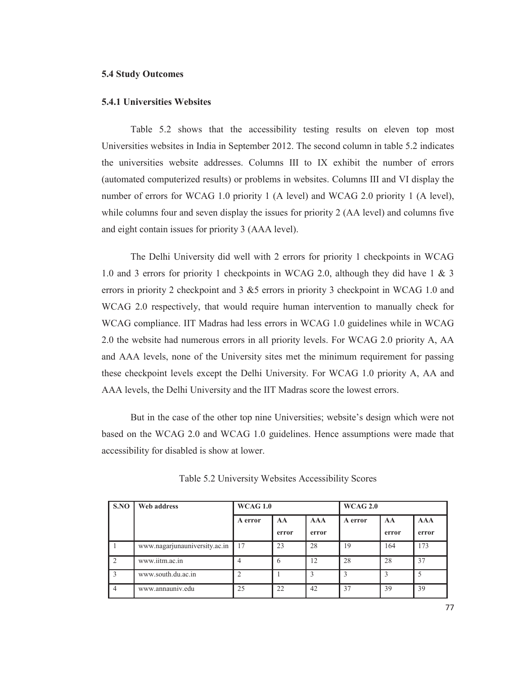## **5.4 Study Outcomes**

#### **5.4.1 Universities Websites**

Table 5.2 shows that the accessibility testing results on eleven top most Universities websites in India in September 2012. The second column in table 5.2 indicates the universities website addresses. Columns III to IX exhibit the number of errors (automated computerized results) or problems in websites. Columns III and VI display the number of errors for WCAG 1.0 priority 1 (A level) and WCAG 2.0 priority 1 (A level), while columns four and seven display the issues for priority 2 (AA level) and columns five and eight contain issues for priority 3 (AAA level).

 The Delhi University did well with 2 errors for priority 1 checkpoints in WCAG 1.0 and 3 errors for priority 1 checkpoints in WCAG 2.0, although they did have 1 & 3 errors in priority 2 checkpoint and 3 &5 errors in priority 3 checkpoint in WCAG 1.0 and WCAG 2.0 respectively, that would require human intervention to manually check for WCAG compliance. IIT Madras had less errors in WCAG 1.0 guidelines while in WCAG 2.0 the website had numerous errors in all priority levels. For WCAG 2.0 priority A, AA and AAA levels, none of the University sites met the minimum requirement for passing these checkpoint levels except the Delhi University. For WCAG 1.0 priority A, AA and AAA levels, the Delhi University and the IIT Madras score the lowest errors.

But in the case of the other top nine Universities; website's design which were not based on the WCAG 2.0 and WCAG 1.0 guidelines. Hence assumptions were made that accessibility for disabled is show at lower.

| S.NO           | Web address                   | <b>WCAG 1.0</b> |             |                     | <b>WCAG 2.0</b> |             |                     |  |  |
|----------------|-------------------------------|-----------------|-------------|---------------------|-----------------|-------------|---------------------|--|--|
|                |                               | A error         | AA<br>error | <b>AAA</b><br>error | A error         | AA<br>error | <b>AAA</b><br>error |  |  |
|                | www.nagarjunauniversity.ac.in | 17              | 23          | 28                  | 19              | 164         | 173                 |  |  |
|                | www.iitm.ac.in                |                 | 6           | 12                  | 28              | 28          | 37                  |  |  |
| $\mathcal{F}$  | www.south.du.ac.in            |                 |             |                     | 3               | 3           | .5                  |  |  |
| $\overline{4}$ | www.annauniv.edu              | 25              | 22          | 42                  | 37              | 39          | 39                  |  |  |

Table 5.2 University Websites Accessibility Scores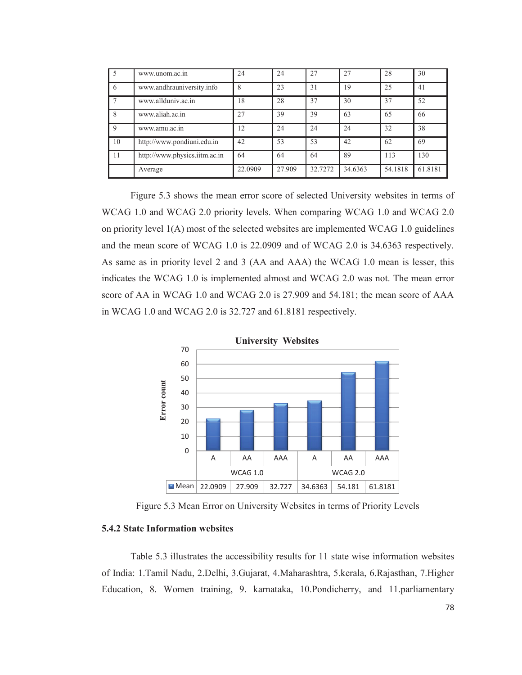| .5 | www.unom.ac.in                | 24      | 24     | 27      | 27      | 28      | 30      |
|----|-------------------------------|---------|--------|---------|---------|---------|---------|
| 6  | www.andhrauniversity.info     | 8       | 23     | 31      | 19      | 25      | 41      |
|    | www.allduniv.ac.in            | 18      | 28     | 37      | 30      | 37      | 52      |
| 8  | www.aliah.ac.in               | 27      | 39     | 39      | 63      | 65      | 66      |
| 9  | www.amu.ac.in                 | 12      | 24     | 24      | 24      | 32      | 38      |
| 10 | http://www.pondiuni.edu.in    | 42      | 53     | 53      | 42      | 62      | 69      |
| 11 | http://www.physics.iitm.ac.in | 64      | 64     | 64      | 89      | 113     | 130     |
|    | Average                       | 22.0909 | 27.909 | 32.7272 | 34.6363 | 54.1818 | 61.8181 |

Figure 5.3 shows the mean error score of selected University websites in terms of WCAG 1.0 and WCAG 2.0 priority levels. When comparing WCAG 1.0 and WCAG 2.0 on priority level 1(A) most of the selected websites are implemented WCAG 1.0 guidelines and the mean score of WCAG 1.0 is 22.0909 and of WCAG 2.0 is 34.6363 respectively. As same as in priority level 2 and 3 (AA and AAA) the WCAG 1.0 mean is lesser, this indicates the WCAG 1.0 is implemented almost and WCAG 2.0 was not. The mean error score of AA in WCAG 1.0 and WCAG 2.0 is 27.909 and 54.181; the mean score of AAA in WCAG 1.0 and WCAG 2.0 is 32.727 and 61.8181 respectively.



Figure 5.3 Mean Error on University Websites in terms of Priority Levels

#### **5.4.2 State Information websites**

Table 5.3 illustrates the accessibility results for 11 state wise information websites of India: 1.Tamil Nadu, 2.Delhi, 3.Gujarat, 4.Maharashtra, 5.kerala, 6.Rajasthan, 7.Higher Education, 8. Women training, 9. karnataka, 10.Pondicherry, and 11.parliamentary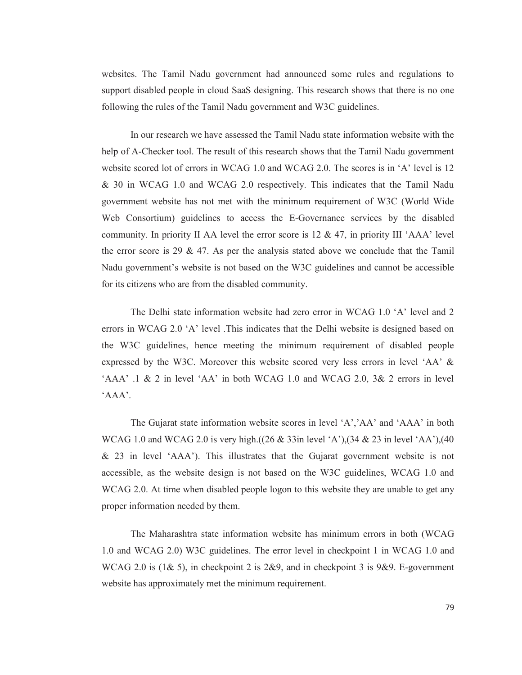websites. The Tamil Nadu government had announced some rules and regulations to support disabled people in cloud SaaS designing. This research shows that there is no one following the rules of the Tamil Nadu government and W3C guidelines.

In our research we have assessed the Tamil Nadu state information website with the help of A-Checker tool. The result of this research shows that the Tamil Nadu government website scored lot of errors in WCAG 1.0 and WCAG 2.0. The scores is in 'A' level is 12 & 30 in WCAG 1.0 and WCAG 2.0 respectively. This indicates that the Tamil Nadu government website has not met with the minimum requirement of W3C (World Wide Web Consortium) guidelines to access the E-Governance services by the disabled community. In priority II AA level the error score is  $12 \& 47$ , in priority III 'AAA' level the error score is 29  $\&$  47. As per the analysis stated above we conclude that the Tamil Nadu government's website is not based on the W3C guidelines and cannot be accessible for its citizens who are from the disabled community.

The Delhi state information website had zero error in WCAG 1.0 'A' level and 2 errors in WCAG 2.0 'A' level .This indicates that the Delhi website is designed based on the W3C guidelines, hence meeting the minimum requirement of disabled people expressed by the W3C. Moreover this website scored very less errors in level 'AA' &  $'AAA'$  .1 & 2 in level  $'AA'$  in both WCAG 1.0 and WCAG 2.0, 3& 2 errors in level 'AAA'.

The Gujarat state information website scores in level 'A','AA' and 'AAA' in both WCAG 1.0 and WCAG 2.0 is very high.((26 & 33in level 'A'),(34 & 23 in level 'AA'),(40 & 23 in level 'AAA'). This illustrates that the Gujarat government website is not accessible, as the website design is not based on the W3C guidelines, WCAG 1.0 and WCAG 2.0. At time when disabled people logon to this website they are unable to get any proper information needed by them.

The Maharashtra state information website has minimum errors in both (WCAG 1.0 and WCAG 2.0) W3C guidelines. The error level in checkpoint 1 in WCAG 1.0 and WCAG 2.0 is (1& 5), in checkpoint 2 is 2&9, and in checkpoint 3 is 9&9. E-government website has approximately met the minimum requirement.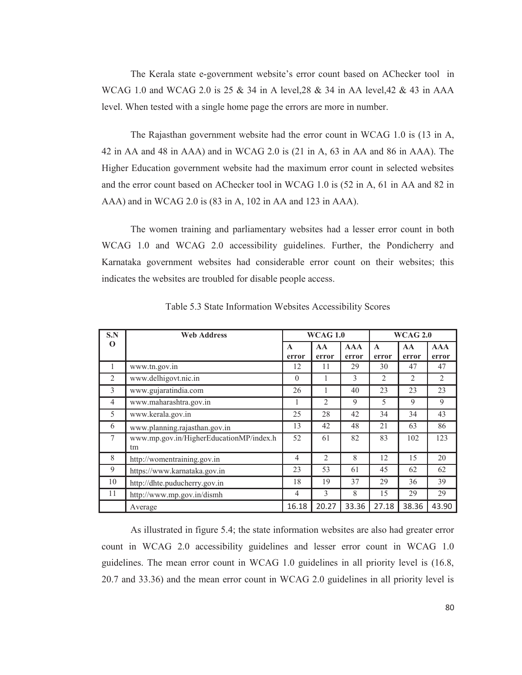The Kerala state e-government website's error count based on AChecker tool in WCAG 1.0 and WCAG 2.0 is 25 & 34 in A level,28 & 34 in AA level,42 & 43 in AAA level. When tested with a single home page the errors are more in number.

The Rajasthan government website had the error count in WCAG 1.0 is (13 in A, 42 in AA and 48 in AAA) and in WCAG 2.0 is (21 in A, 63 in AA and 86 in AAA). The Higher Education government website had the maximum error count in selected websites and the error count based on AChecker tool in WCAG 1.0 is (52 in A, 61 in AA and 82 in AAA) and in WCAG 2.0 is (83 in A, 102 in AA and 123 in AAA).

The women training and parliamentary websites had a lesser error count in both WCAG 1.0 and WCAG 2.0 accessibility guidelines. Further, the Pondicherry and Karnataka government websites had considerable error count on their websites; this indicates the websites are troubled for disable people access.

| S.N            | <b>Web Address</b>                            | <b>WCAG 1.0</b>       |                |                     |                       | <b>WCAG 2.0</b> |                     |  |  |
|----------------|-----------------------------------------------|-----------------------|----------------|---------------------|-----------------------|-----------------|---------------------|--|--|
| $\Omega$       |                                               | $\mathbf{A}$<br>error | AA<br>error    | <b>AAA</b><br>error | $\mathbf{A}$<br>error | AA<br>error     | <b>AAA</b><br>error |  |  |
| $\mathbf{I}$   | www.tn.gov.in                                 | 12                    | 11             | 29                  | 30                    | 47              | 47                  |  |  |
| 2              | www.delhigovt.nic.in                          | $\theta$              | 1              | 3                   | 2                     | $\overline{2}$  | 2                   |  |  |
| 3              | www.gujaratindia.com                          | 26                    |                | 40                  | 23                    | 23              | 23                  |  |  |
| $\overline{4}$ | www.maharashtra.gov.in                        | 1                     | $\overline{2}$ | 9                   | 5                     | 9               | 9                   |  |  |
| 5              | www.kerala.gov.in                             | 25                    | 28             | 42                  | 34                    | 34              | 43                  |  |  |
| 6              | www.planning.rajasthan.gov.in                 | 13                    | 42             | 48                  | 21                    | 63              | 86                  |  |  |
| 7              | www.mp.gov.in/HigherEducationMP/index.h<br>tm | 52                    | 61             | 82                  | 83                    | 102             | 123                 |  |  |
| 8              | http://womentraining.gov.in                   | $\overline{4}$        | $\overline{2}$ | 8                   | 12                    | 15              | 20                  |  |  |
| 9              | https://www.karnataka.gov.in                  | 23                    | 53             | 61                  | 45                    | 62              | 62                  |  |  |
| 10             | http://dhte.puducherry.gov.in                 | 18                    | 19             | 37                  | 29                    | 36              | 39                  |  |  |
| 11             | http://www.mp.gov.in/dismh                    | $\overline{4}$        | 3              | 8                   | 15                    | 29              | 29                  |  |  |
|                | Average                                       | 16.18                 | 20.27          | 33.36               | 27.18                 | 38.36           | 43.90               |  |  |

Table 5.3 State Information Websites Accessibility Scores

As illustrated in figure 5.4; the state information websites are also had greater error count in WCAG 2.0 accessibility guidelines and lesser error count in WCAG 1.0 guidelines. The mean error count in WCAG 1.0 guidelines in all priority level is (16.8, 20.7 and 33.36) and the mean error count in WCAG 2.0 guidelines in all priority level is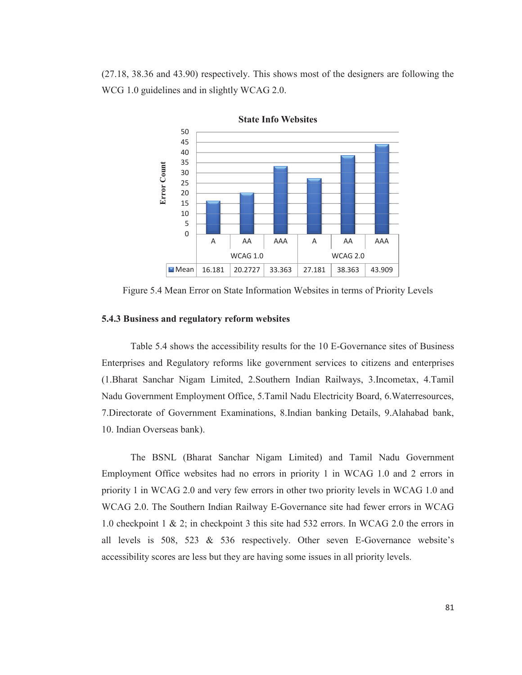(27.18, 38.36 and 43.90) respectively. This shows most of the designers are following the WCG 1.0 guidelines and in slightly WCAG 2.0.



Figure 5.4 Mean Error on State Information Websites in terms of Priority Levels

# **5.4.3 Business and regulatory reform websites**

Table 5.4 shows the accessibility results for the 10 E-Governance sites of Business Enterprises and Regulatory reforms like government services to citizens and enterprises (1.Bharat Sanchar Nigam Limited, 2.Southern Indian Railways, 3.Incometax, 4.Tamil Nadu Government Employment Office, 5.Tamil Nadu Electricity Board, 6.Waterresources, 7.Directorate of Government Examinations, 8.Indian banking Details, 9.Alahabad bank, 10. Indian Overseas bank).

 The BSNL (Bharat Sanchar Nigam Limited) and Tamil Nadu Government Employment Office websites had no errors in priority 1 in WCAG 1.0 and 2 errors in priority 1 in WCAG 2.0 and very few errors in other two priority levels in WCAG 1.0 and WCAG 2.0. The Southern Indian Railway E-Governance site had fewer errors in WCAG 1.0 checkpoint 1 & 2; in checkpoint 3 this site had 532 errors. In WCAG 2.0 the errors in all levels is 508, 523 & 536 respectively. Other seven E-Governance website's accessibility scores are less but they are having some issues in all priority levels.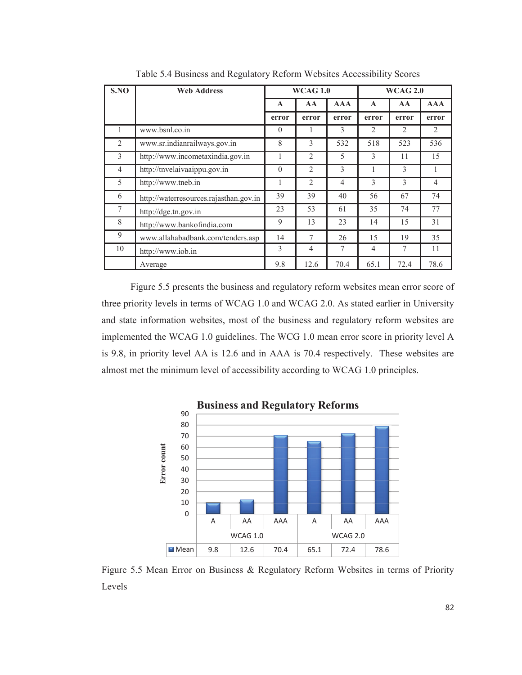| S.NO           | <b>Web Address</b>                     | <b>WCAG 1.0</b> |                |                |                | <b>WCAG 2.0</b> |                |
|----------------|----------------------------------------|-----------------|----------------|----------------|----------------|-----------------|----------------|
|                |                                        | $\mathbf{A}$    | AA             | <b>AAA</b>     | $\mathbf{A}$   | AA              | <b>AAA</b>     |
|                |                                        | error           | error          | error          | error          | error           | error          |
|                | www.bsnl.co.in                         | $\theta$        |                | 3              | 2              | $\mathcal{L}$   | 2              |
| $\overline{2}$ | www.sr.indianrailways.gov.in           | 8               | 3              | 532            | 518            | 523             | 536            |
| 3              | http://www.incometaxindia.gov.in       |                 | $\overline{2}$ | 5              | 3              | 11              | 15             |
| $\overline{4}$ | http://tnvelaivaaippu.gov.in           | $\theta$        | $\mathfrak{D}$ | 3              | 1              | 3               | 1              |
| 5              | http://www.tneb.in                     | 1               | $\overline{2}$ | $\overline{4}$ | 3              | 3               | $\overline{4}$ |
| 6              | http://waterresources.rajasthan.gov.in | 39              | 39             | 40             | 56             | 67              | 74             |
| $\tau$         | http://dge.tn.gov.in                   | 23              | 53             | 61             | 35             | 74              | 77             |
| 8              | http://www.bankofindia.com             | 9               | 13             | 23             | 14             | 15              | 31             |
| 9              | www.allahabadbank.com/tenders.asp      | 14              | 7              | 26             | 15             | 19              | 35             |
| 10             | http://www.iob.in                      | 3               | $\overline{4}$ | 7              | $\overline{4}$ | 7               | 11             |
|                | Average                                | 9.8             | 12.6           | 70.4           | 65.1           | 72.4            | 78.6           |

Table 5.4 Business and Regulatory Reform Websites Accessibility Scores

Figure 5.5 presents the business and regulatory reform websites mean error score of three priority levels in terms of WCAG 1.0 and WCAG 2.0. As stated earlier in University and state information websites, most of the business and regulatory reform websites are implemented the WCAG 1.0 guidelines. The WCG 1.0 mean error score in priority level A is 9.8, in priority level AA is 12.6 and in AAA is 70.4 respectively. These websites are almost met the minimum level of accessibility according to WCAG 1.0 principles.



Figure 5.5 Mean Error on Business & Regulatory Reform Websites in terms of Priority Levels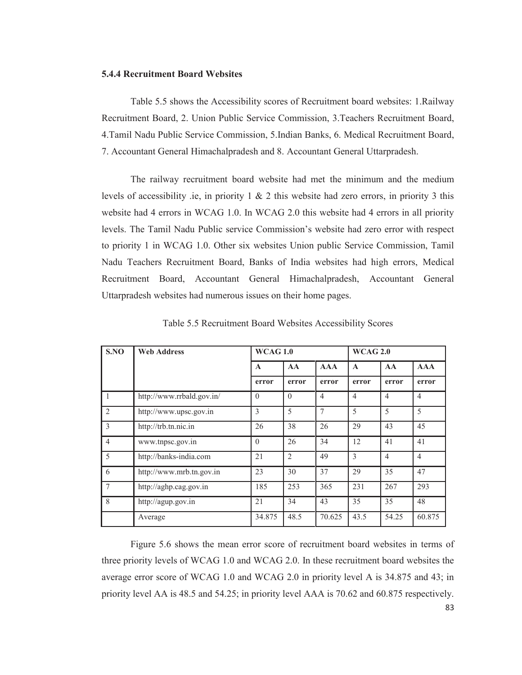#### **5.4.4 Recruitment Board Websites**

Table 5.5 shows the Accessibility scores of Recruitment board websites: 1.Railway Recruitment Board, 2. Union Public Service Commission, 3.Teachers Recruitment Board, 4.Tamil Nadu Public Service Commission, 5.Indian Banks, 6. Medical Recruitment Board, 7. Accountant General Himachalpradesh and 8. Accountant General Uttarpradesh.

The railway recruitment board website had met the minimum and the medium levels of accessibility .ie, in priority  $1 \& 2$  this website had zero errors, in priority 3 this website had 4 errors in WCAG 1.0. In WCAG 2.0 this website had 4 errors in all priority levels. The Tamil Nadu Public service Commission's website had zero error with respect to priority 1 in WCAG 1.0. Other six websites Union public Service Commission, Tamil Nadu Teachers Recruitment Board, Banks of India websites had high errors, Medical Recruitment Board, Accountant General Himachalpradesh, Accountant General Uttarpradesh websites had numerous issues on their home pages.

| S.NO           | <b>Web Address</b>        | <b>WCAG 1.0</b> |                |                | <b>WCAG 2.0</b> |                |                |  |
|----------------|---------------------------|-----------------|----------------|----------------|-----------------|----------------|----------------|--|
|                |                           | $\mathbf{A}$    | AA             | <b>AAA</b>     | $\mathbf{A}$    | AA             | AAA            |  |
|                |                           | error           | error          | error          | error           | error          | error          |  |
| 1              | http://www.rrbald.gov.in/ | $\theta$        | $\Omega$       | $\overline{4}$ | $\overline{4}$  | $\overline{4}$ | $\overline{4}$ |  |
| 2              | http://www.upsc.gov.in    | 3               | 5              | $\overline{7}$ | 5               | 5              | 5              |  |
| 3              | http://trb.tn.nic.in      | 26              | 38             | 26             | 29              | 43             | 45             |  |
| $\overline{4}$ | www.tnpsc.gov.in          | $\theta$        | 26             | 34             | 12              | 41             | 41             |  |
| 5              | http://banks-india.com    | 21              | $\overline{2}$ | 49             | 3               | $\overline{4}$ | $\overline{4}$ |  |
| 6              | http://www.mrb.tn.gov.in  | 23              | 30             | 37             | 29              | 35             | 47             |  |
| 7              | http://aghp.cag.gov.in    | 185             | 253            | 365            | 231             | 267            | 293            |  |
| 8              | http://agup.gov.in        | 21              | 34             | 43             | 35              | 35             | 48             |  |
|                | Average                   | 34.875          | 48.5           | 70.625         | 43.5            | 54.25          | 60.875         |  |

Table 5.5 Recruitment Board Websites Accessibility Scores

Figure 5.6 shows the mean error score of recruitment board websites in terms of three priority levels of WCAG 1.0 and WCAG 2.0. In these recruitment board websites the average error score of WCAG 1.0 and WCAG 2.0 in priority level A is 34.875 and 43; in priority level AA is 48.5 and 54.25; in priority level AAA is 70.62 and 60.875 respectively.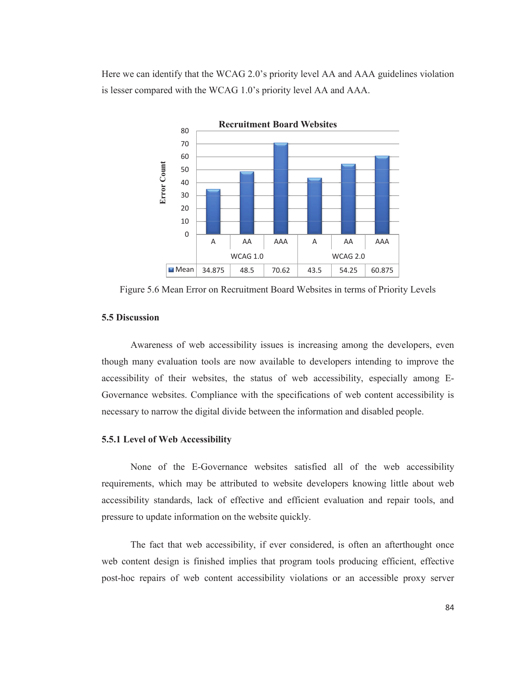Here we can identify that the WCAG 2.0's priority level AA and AAA guidelines violation is lesser compared with the WCAG 1.0's priority level AA and AAA.



Figure 5.6 Mean Error on Recruitment Board Websites in terms of Priority Levels

# **5.5 Discussion**

Awareness of web accessibility issues is increasing among the developers, even though many evaluation tools are now available to developers intending to improve the accessibility of their websites, the status of web accessibility, especially among E-Governance websites. Compliance with the specifications of web content accessibility is necessary to narrow the digital divide between the information and disabled people.

## **5.5.1 Level of Web Accessibility**

None of the E-Governance websites satisfied all of the web accessibility requirements, which may be attributed to website developers knowing little about web accessibility standards, lack of effective and efficient evaluation and repair tools, and pressure to update information on the website quickly.

The fact that web accessibility, if ever considered, is often an afterthought once web content design is finished implies that program tools producing efficient, effective post-hoc repairs of web content accessibility violations or an accessible proxy server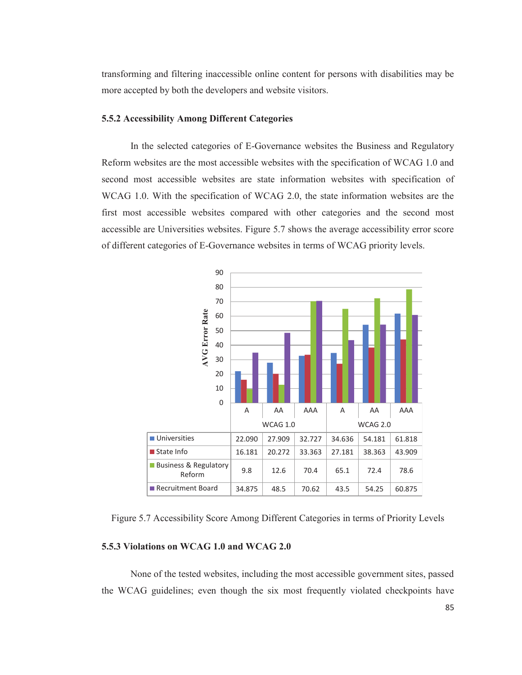transforming and filtering inaccessible online content for persons with disabilities may be more accepted by both the developers and website visitors.

## **5.5.2 Accessibility Among Different Categories**

In the selected categories of E-Governance websites the Business and Regulatory Reform websites are the most accessible websites with the specification of WCAG 1.0 and second most accessible websites are state information websites with specification of WCAG 1.0. With the specification of WCAG 2.0, the state information websites are the first most accessible websites compared with other categories and the second most accessible are Universities websites. Figure 5.7 shows the average accessibility error score of different categories of E-Governance websites in terms of WCAG priority levels.



Figure 5.7 Accessibility Score Among Different Categories in terms of Priority Levels

# **5.5.3 Violations on WCAG 1.0 and WCAG 2.0**

None of the tested websites, including the most accessible government sites, passed the WCAG guidelines; even though the six most frequently violated checkpoints have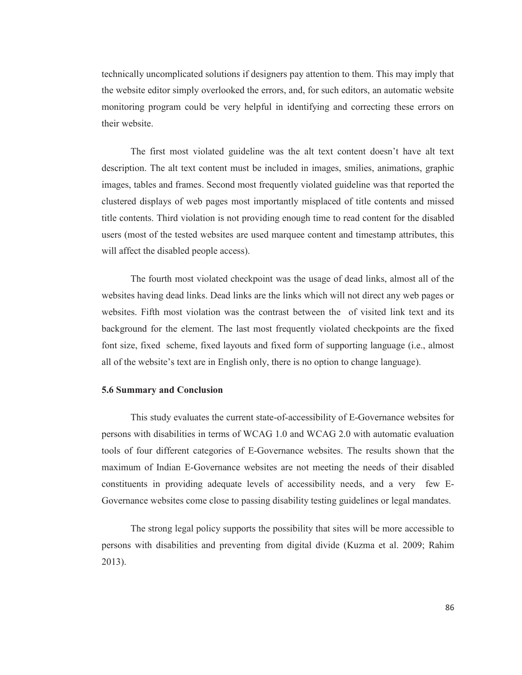technically uncomplicated solutions if designers pay attention to them. This may imply that the website editor simply overlooked the errors, and, for such editors, an automatic website monitoring program could be very helpful in identifying and correcting these errors on their website.

 The first most violated guideline was the alt text content doesn't have alt text description. The alt text content must be included in images, smilies, animations, graphic images, tables and frames. Second most frequently violated guideline was that reported the clustered displays of web pages most importantly misplaced of title contents and missed title contents. Third violation is not providing enough time to read content for the disabled users (most of the tested websites are used marquee content and timestamp attributes, this will affect the disabled people access).

The fourth most violated checkpoint was the usage of dead links, almost all of the websites having dead links. Dead links are the links which will not direct any web pages or websites. Fifth most violation was the contrast between the of visited link text and its background for the element. The last most frequently violated checkpoints are the fixed font size, fixed scheme, fixed layouts and fixed form of supporting language (i.e., almost all of the website's text are in English only, there is no option to change language).

#### **5.6 Summary and Conclusion**

This study evaluates the current state-of-accessibility of E-Governance websites for persons with disabilities in terms of WCAG 1.0 and WCAG 2.0 with automatic evaluation tools of four different categories of E-Governance websites. The results shown that the maximum of Indian E-Governance websites are not meeting the needs of their disabled constituents in providing adequate levels of accessibility needs, and a very few E-Governance websites come close to passing disability testing guidelines or legal mandates.

The strong legal policy supports the possibility that sites will be more accessible to persons with disabilities and preventing from digital divide (Kuzma et al. 2009; Rahim 2013).